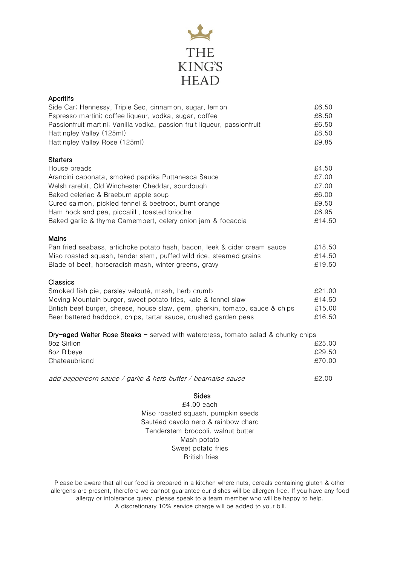

| Aperitifs                                                                                                        |                |
|------------------------------------------------------------------------------------------------------------------|----------------|
| Side Car; Hennessy, Triple Sec, cinnamon, sugar, lemon<br>Espresso martini; coffee liqueur, vodka, sugar, coffee | £6.50<br>£8.50 |
| Passionfruit martini; Vanilla vodka, passion fruit liqueur, passionfruit                                         | £6.50          |
| Hattingley Valley (125ml)                                                                                        | £8.50          |
| Hattingley Valley Rose (125ml)                                                                                   | £9.85          |
|                                                                                                                  |                |
| <b>Starters</b><br>House breads                                                                                  | £4.50          |
| Arancini caponata, smoked paprika Puttanesca Sauce                                                               | £7.00          |
| Welsh rarebit, Old Winchester Cheddar, sourdough                                                                 | £7.00          |
| Baked celeriac & Braeburn apple soup                                                                             | £6.00          |
| Cured salmon, pickled fennel & beetroot, burnt orange                                                            | £9.50          |
| Ham hock and pea, piccalilli, toasted brioche                                                                    | £6.95          |
| Baked garlic & thyme Camembert, celery onion jam & focaccia                                                      | £14.50         |
| Mains                                                                                                            |                |
| Pan fried seabass, artichoke potato hash, bacon, leek & cider cream sauce                                        | £18.50         |
| Miso roasted squash, tender stem, puffed wild rice, steamed grains                                               | £14.50         |
| Blade of beef, horseradish mash, winter greens, gravy                                                            | £19.50         |
| Classics                                                                                                         |                |
| Smoked fish pie, parsley velouté, mash, herb crumb                                                               | £21.00         |
| Moving Mountain burger, sweet potato fries, kale & fennel slaw                                                   | £14.50         |
| British beef burger, cheese, house slaw, gem, gherkin, tomato, sauce & chips                                     | £15.00         |
| Beer battered haddock, chips, tartar sauce, crushed garden peas                                                  | £16.50         |
| Dry-aged Walter Rose Steaks - served with watercress, tomato salad & chunky chips                                |                |
| 8oz Sirlion                                                                                                      | £25.00         |
| 8oz Ribeye                                                                                                       | £29.50         |
| Chateaubriand                                                                                                    | £70.00         |
| add peppercorn sauce / garlic & herb butter / bearnaise sauce                                                    | £2.00          |
| <b>Sides</b>                                                                                                     |                |
| £4.00 each                                                                                                       |                |
| Miso roasted squash, pumpkin seeds                                                                               |                |
| Sautéed cavolo nero & rainbow chard                                                                              |                |
| Tenderstem broccoli, walnut butter                                                                               |                |
| Mash potato                                                                                                      |                |
| Sweet potato fries                                                                                               |                |

British fries

Please be aware that all our food is prepared in a kitchen where nuts, cereals containing gluten & other allergens are present, therefore we cannot guarantee our dishes will be allergen free. If you have any food allergy or intolerance query, please speak to a team member who will be happy to help. A discretionary 10% service charge will be added to your bill.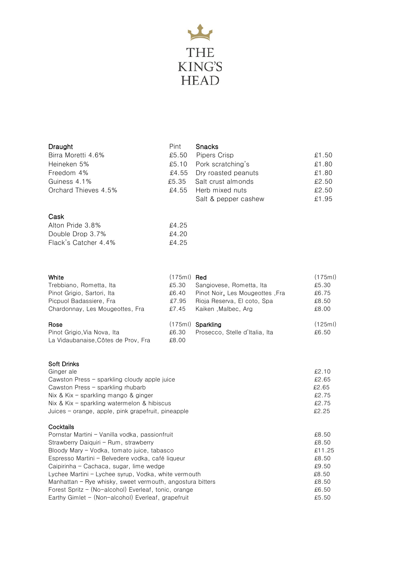

## Drought

| Draught              | Pint  | <b>Snacks</b>             |       |
|----------------------|-------|---------------------------|-------|
| Birra Moretti 4.6%   | £5.50 | Pipers Crisp              | £1.50 |
| Heineken 5%          |       | £5.10 Pork scratching's   | £1.80 |
| Freedom 4%           |       | £4.55 Dry roasted peanuts | £1.80 |
| Guiness 4.1%         |       | £5.35 Salt crust almonds  | £2.50 |
| Orchard Thieves 4.5% |       | £4.55 Herb mixed nuts     | £2.50 |
|                      |       | Salt & pepper cashew      | £1.95 |

## Cask

| Alton Pride 3.8%     | £4.25 |
|----------------------|-------|
| Double Drop 3.7%     | £4.20 |
| Flack's Catcher 4.4% | £4.25 |

| White                               | $(175ml)$ Red |                                 | (175ml) |
|-------------------------------------|---------------|---------------------------------|---------|
| Trebbiano, Rometta, Ita             | £5.30         | Sangiovese, Rometta, Ita        | £5.30   |
| Pinot Grigio, Sartori, Ita          | £6.40         | Pinot Noir, Les Mougeottes, Fra | £6.75   |
| Picpuol Badassiere, Fra             | £7.95         | Rioja Reserva, El coto, Spa     | £8.50   |
| Chardonnay, Les Mougeottes, Fra     | £7.45         | Kaiken, Malbec, Arg             | £8.00   |
| Rose                                |               | $(175m)$ Sparkling              | (125ml) |
| Pinot Grigio, Via Nova, Ita         | £6.30         | Prosecco, Stelle d'Italia, Ita  | £6.50   |
| La Vidaubanaise, Côtes de Prov, Fra | £8.00         |                                 |         |

## Soft Drinks

| Ginger ale                                         | £2.10 |
|----------------------------------------------------|-------|
| Cawston Press – sparkling cloudy apple juice       | £2.65 |
| Cawston Press - sparkling rhubarb                  | £2.65 |
| Nix & Kix – sparkling mango & ginger               | £2.75 |
| Nix & Kix – sparkling watermelon & hibiscus        | £2.75 |
| Juices – orange, apple, pink grapefruit, pineapple | £2.25 |
|                                                    |       |

## **Cocktails**

| Pornstar Martini - Vanilla vodka, passionfruit              | £8.50  |
|-------------------------------------------------------------|--------|
| Strawberry Daiquiri - Rum, strawberry                       | £8.50  |
| Bloody Mary - Vodka, tomato juice, tabasco                  | £11.25 |
| Espresso Martini - Belvedere vodka, café liqueur            | £8.50  |
| Caipirinha - Cachaca, sugar, lime wedge                     | £9.50  |
| Lychee Martini – Lychee syrup, Vodka, white vermouth        | £8.50  |
| Manhattan $-$ Rye whisky, sweet vermouth, angostura bitters | £8.50  |
| Forest Spritz - (No-alcohol) Everleaf, tonic, orange        | £6.50  |
| Earthy Gimlet - (Non-alcohol) Everleaf, grapefruit          | £5.50  |
|                                                             |        |